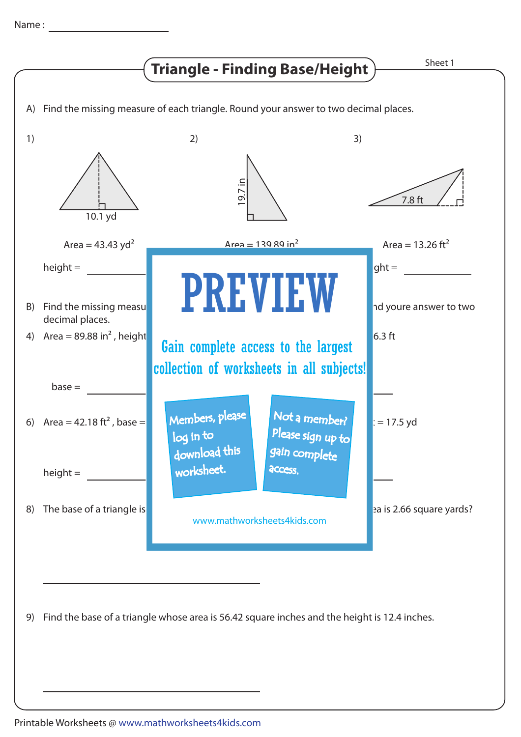